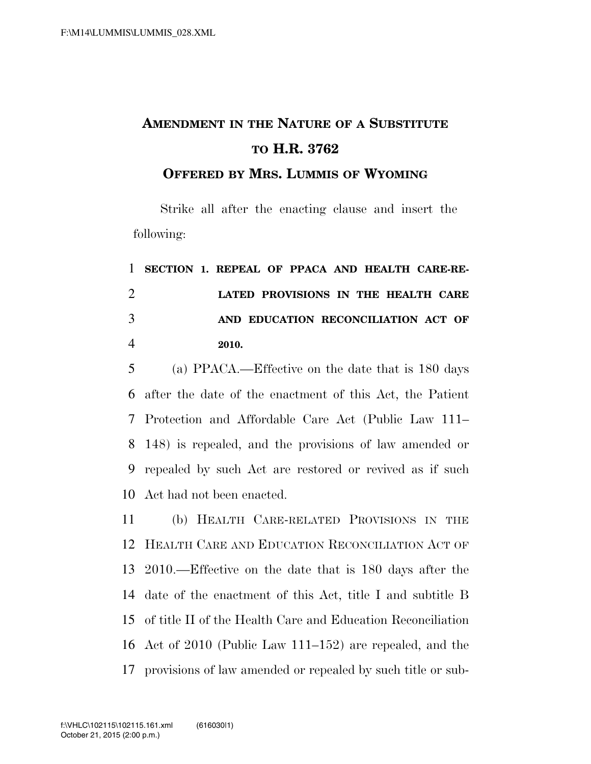## **AMENDMENT IN THE NATURE OF A SUBSTITUTE TO H.R. 3762**

**OFFERED BY MRS. LUMMIS OF WYOMING**

Strike all after the enacting clause and insert the following:

|                | 1 SECTION 1. REPEAL OF PPACA AND HEALTH CARE-RE- |       |  |  |                                     |  |
|----------------|--------------------------------------------------|-------|--|--|-------------------------------------|--|
| $\overline{2}$ |                                                  |       |  |  | LATED PROVISIONS IN THE HEALTH CARE |  |
| 3              |                                                  |       |  |  | AND EDUCATION RECONCILIATION ACT OF |  |
| 4              |                                                  | 2010. |  |  |                                     |  |

 (a) PPACA.—Effective on the date that is 180 days after the date of the enactment of this Act, the Patient Protection and Affordable Care Act (Public Law 111– 148) is repealed, and the provisions of law amended or repealed by such Act are restored or revived as if such Act had not been enacted.

 (b) HEALTH CARE-RELATED PROVISIONS IN THE HEALTH CARE AND EDUCATION RECONCILIATION ACT OF 2010.—Effective on the date that is 180 days after the date of the enactment of this Act, title I and subtitle B of title II of the Health Care and Education Reconciliation Act of 2010 (Public Law 111–152) are repealed, and the provisions of law amended or repealed by such title or sub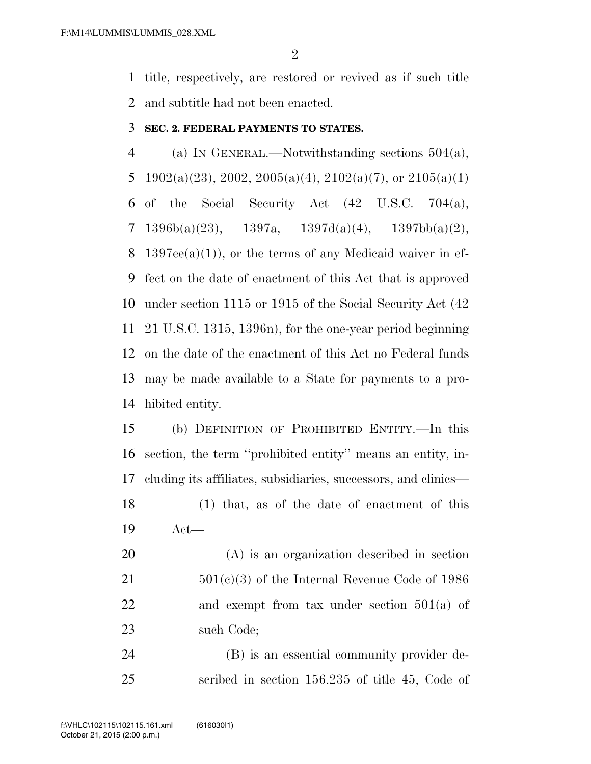title, respectively, are restored or revived as if such title and subtitle had not been enacted.

## **SEC. 2. FEDERAL PAYMENTS TO STATES.**

 (a) IN GENERAL.—Notwithstanding sections 504(a), 5 1902(a)(23), 2002, 2005(a)(4), 2102(a)(7), or 2105(a)(1) of the Social Security Act (42 U.S.C. 704(a), 7 1396b(a)(23), 1397a, 1397d(a)(4), 1397bb(a)(2), 8 1397ee(a)(1)), or the terms of any Medicaid waiver in ef- fect on the date of enactment of this Act that is approved under section 1115 or 1915 of the Social Security Act (42 21 U.S.C. 1315, 1396n), for the one-year period beginning on the date of the enactment of this Act no Federal funds may be made available to a State for payments to a pro-hibited entity.

 (b) DEFINITION OF PROHIBITED ENTITY.—In this section, the term ''prohibited entity'' means an entity, in- cluding its affiliates, subsidiaries, successors, and clinics— (1) that, as of the date of enactment of this

Act—

 (A) is an organization described in section 501(c)(3) of the Internal Revenue Code of 1986 22 and exempt from tax under section 501(a) of such Code;

 (B) is an essential community provider de-scribed in section 156.235 of title 45, Code of